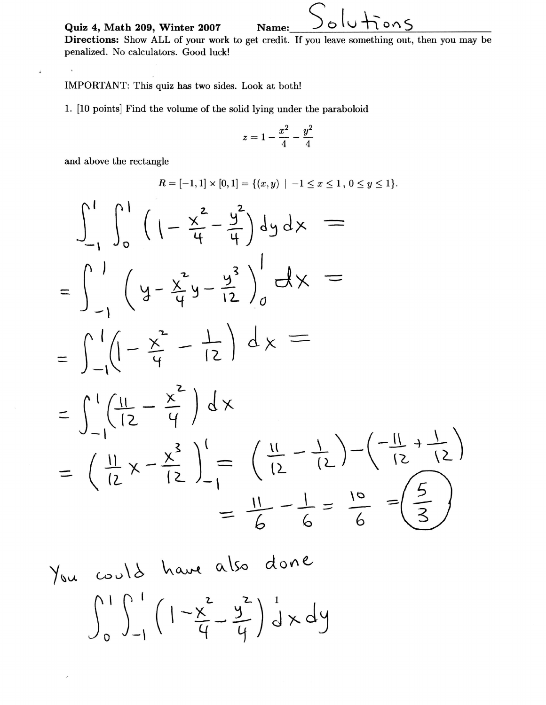Quiz 4, Math 209, Winter 2007 Name:  $\bigcup_{\alpha} \bigcup_{\alpha} \bigcup_{\alpha} \bigcup_{\alpha} \bigcap_{\alpha} \bigcap_{\alpha}$ 

Directions: Show ALL of your work to get credit. If you leave something out, then you may be penalized. No calculators. Good luck!

## IMPORTANT: This quiz has two sides. Look at both!

1. [10 points] Find the volume of the solid lying under the paraboloid

$$
z=1-\frac{x^2}{4}-\frac{y^2}{4}
$$

and above the rectangle

 $\mathbf{v}$ 

 $\dot{\theta}$ 

 $\gamma_{\rm i}$ 

 $\overline{\phantom{a}}$ 

$$
R = [-1,1] \times [0,1] = \{(x,y) \mid -1 \le x \le 1, 0 \le y \le 1\}.
$$

$$
\int_{-1}^{1} \int_{0}^{1} \left(1 - \frac{x^{2}}{4} - \frac{y^{2}}{4}\right) dy dx =
$$
\n
$$
= \int_{-1}^{1} \left(1 - \frac{x^{2}}{4} - \frac{y^{3}}{12}\right) dx =
$$
\n
$$
= \int_{-1}^{1} \left(1 - \frac{x^{2}}{4} - \frac{1}{12}\right) dx =
$$
\n
$$
= \int_{-1}^{1} \left(\frac{11}{2} - \frac{x^{2}}{4}\right) dx
$$
\n
$$
= \int_{-1}^{1} \left(\frac{11}{2} - \frac{x^{3}}{4}\right) dx
$$
\n
$$
= \left(\frac{11}{12}x - \frac{x^{3}}{12}\right) - \left(\frac{11}{12} - \frac{1}{12}\right) - \left(\frac{-11}{12} + \frac{1}{12}\right) =
$$
\n
$$
= \frac{11}{6} - \frac{1}{6} = \frac{10}{6} = \left(\frac{5}{3}\right)
$$

c^r r\ ! \,..o.^tt ou\So n I n I r L 2^ \ \ (l-\-L JoJ-1\ q q d'on e- "JJ ) i Yo".